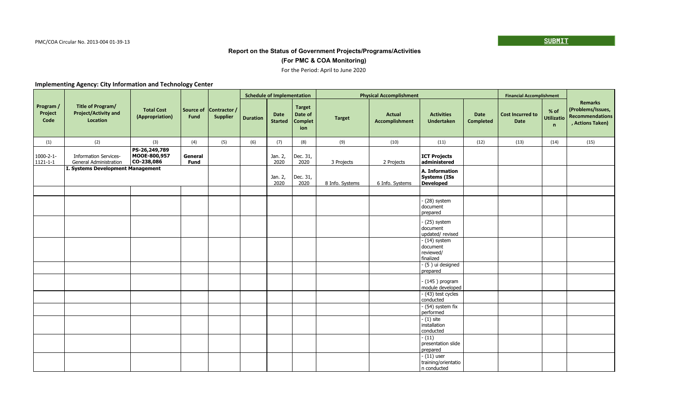## **(For PMC & COA Monitoring)**

#### For the Period: April to June 2020

|                                    |                                                               |                                             |                        |                                 |                 | <b>Schedule of Implementation</b> |                                                   |                 | <b>Physical Accomplishment</b>         |                                                            |                          | <b>Financial Accomplishment</b>        |                                           |                                                                                   |
|------------------------------------|---------------------------------------------------------------|---------------------------------------------|------------------------|---------------------------------|-----------------|-----------------------------------|---------------------------------------------------|-----------------|----------------------------------------|------------------------------------------------------------|--------------------------|----------------------------------------|-------------------------------------------|-----------------------------------------------------------------------------------|
| Program /<br>Project<br>Code       | Title of Program/<br><b>Project/Activity and</b><br>Location  | <b>Total Cost</b><br>(Appropriation)        | Source of<br>Fund      | Contractor /<br><b>Supplier</b> | <b>Duration</b> | <b>Date</b><br><b>Started</b>     | <b>Target</b><br>Date of<br><b>Complet</b><br>ion | <b>Target</b>   | <b>Actual</b><br><b>Accomplishment</b> | <b>Activities</b><br><b>Undertaken</b>                     | Date<br><b>Completed</b> | <b>Cost Incurred to</b><br><b>Date</b> | % of<br><b>Utilizatio</b><br>$\mathsf{n}$ | <b>Remarks</b><br>(Problems/Issues,<br><b>Recommendations</b><br>, Actions Taken) |
| (1)                                | (2)                                                           | (3)                                         | (4)                    | (5)                             | (6)             | (7)                               | (8)                                               | (9)             | (10)                                   | (11)                                                       | (12)                     | (13)                                   | (14)                                      | (15)                                                                              |
| $1000 - 2 - 1 -$<br>$1121 - 1 - 1$ | <b>Information Services-</b><br><b>General Administration</b> | PS-26,249,789<br>MOOE-800,957<br>CO-238,086 | General<br><b>Fund</b> |                                 |                 | Jan. 2,<br>2020                   | Dec. 31,<br>2020                                  | 3 Projects      | 2 Projects                             | ICT Projects<br>administered                               |                          |                                        |                                           |                                                                                   |
|                                    | I. Systems Development Management                             |                                             |                        |                                 |                 | Jan. 2,<br>2020                   | Dec. 31,<br>2020                                  | 8 Info. Systems | 6 Info. Systems                        | A. Information<br><b>Systems (ISs)</b><br><b>Developed</b> |                          |                                        |                                           |                                                                                   |
|                                    |                                                               |                                             |                        |                                 |                 |                                   |                                                   |                 |                                        |                                                            |                          |                                        |                                           |                                                                                   |
|                                    |                                                               |                                             |                        |                                 |                 |                                   |                                                   |                 |                                        | $(28)$ system<br>document<br>prepared                      |                          |                                        |                                           |                                                                                   |
|                                    |                                                               |                                             |                        |                                 |                 |                                   |                                                   |                 |                                        | (25) system<br>document<br>updated/revised                 |                          |                                        |                                           |                                                                                   |
|                                    |                                                               |                                             |                        |                                 |                 |                                   |                                                   |                 |                                        | $-$ (14) system<br>document<br>reviewed/<br>finalized      |                          |                                        |                                           |                                                                                   |
|                                    |                                                               |                                             |                        |                                 |                 |                                   |                                                   |                 |                                        | - (5) ui designed<br>prepared                              |                          |                                        |                                           |                                                                                   |
|                                    |                                                               |                                             |                        |                                 |                 |                                   |                                                   |                 |                                        | $-$ (145) program<br>module developed                      |                          |                                        |                                           |                                                                                   |
|                                    |                                                               |                                             |                        |                                 |                 |                                   |                                                   |                 |                                        | - (43) test cycles<br>conducted                            |                          |                                        |                                           |                                                                                   |
|                                    |                                                               |                                             |                        |                                 |                 |                                   |                                                   |                 |                                        | $(54)$ system fix<br>performed                             |                          |                                        |                                           |                                                                                   |
|                                    |                                                               |                                             |                        |                                 |                 |                                   |                                                   |                 |                                        | $-(1)$ site<br>installation<br>conducted                   |                          |                                        |                                           |                                                                                   |
|                                    |                                                               |                                             |                        |                                 |                 |                                   |                                                   |                 |                                        | $- (11)$<br>presentation slide<br>prepared                 |                          |                                        |                                           |                                                                                   |
|                                    |                                                               |                                             |                        |                                 |                 |                                   |                                                   |                 |                                        | $-$ (11) user<br>training/orientatio<br>n conducted        |                          |                                        |                                           |                                                                                   |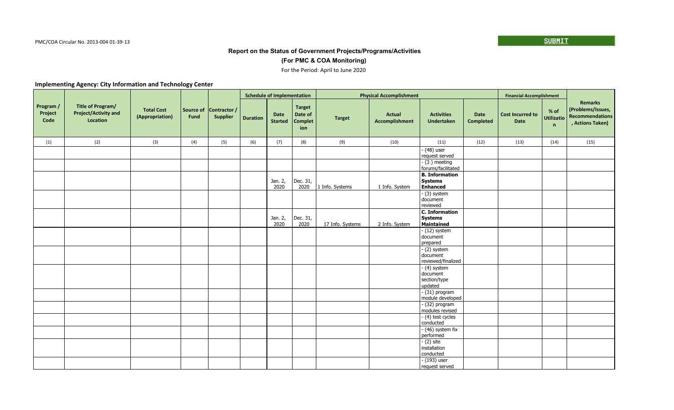## **(For PMC & COA Monitoring)**

#### For the Period: April to June 2020

|                              |                                                              |                                      |                   |                                 |                 | <b>Schedule of Implementation</b> |                                                   |                  | <b>Physical Accomplishment</b>  |                                                            |                                 | <b>Financial Accomplishment</b>        |                                |                                                                            |
|------------------------------|--------------------------------------------------------------|--------------------------------------|-------------------|---------------------------------|-----------------|-----------------------------------|---------------------------------------------------|------------------|---------------------------------|------------------------------------------------------------|---------------------------------|----------------------------------------|--------------------------------|----------------------------------------------------------------------------|
| Program /<br>Project<br>Code | Title of Program/<br><b>Project/Activity and</b><br>Location | <b>Total Cost</b><br>(Appropriation) | Source of<br>Fund | Contractor /<br><b>Supplier</b> | <b>Duration</b> | <b>Date</b><br><b>Started</b>     | <b>Target</b><br>Date of<br><b>Complet</b><br>ion | <b>Target</b>    | <b>Actual</b><br>Accomplishment | <b>Activities</b><br><b>Undertaken</b>                     | <b>Date</b><br><b>Completed</b> | <b>Cost Incurred to</b><br><b>Date</b> | % of<br><b>Utilizatio</b><br>n | <b>Remarks</b><br>(Problems/Issues,<br>Recommendations<br>, Actions Taken) |
| (1)                          | (2)                                                          | (3)                                  | (4)               | (5)                             | (6)             | (7)                               | (8)                                               | (9)              | (10)                            | (11)                                                       | (12)                            | (13)                                   | (14)                           | (15)                                                                       |
|                              |                                                              |                                      |                   |                                 |                 |                                   |                                                   |                  |                                 | $-$ (48) user<br>request served                            |                                 |                                        |                                |                                                                            |
|                              |                                                              |                                      |                   |                                 |                 |                                   |                                                   |                  |                                 | $-$ (3) meeting<br>forums/facilitated                      |                                 |                                        |                                |                                                                            |
|                              |                                                              |                                      |                   |                                 |                 | Jan. 2,<br>2020                   | Dec. 31,<br>2020                                  | 1 Info. Systems  | 1 Info. System                  | <b>B.</b> Information<br><b>Systems</b><br><b>Enhanced</b> |                                 |                                        |                                |                                                                            |
|                              |                                                              |                                      |                   |                                 |                 |                                   |                                                   |                  |                                 | $-$ (3) system<br>document<br>reviewed                     |                                 |                                        |                                |                                                                            |
|                              |                                                              |                                      |                   |                                 |                 | Jan. 2,<br>2020                   | Dec. 31,<br>2020                                  | 17 Info. Systems | 2 Info. System                  | C. Information<br><b>Systems</b><br>Maintained             |                                 |                                        |                                |                                                                            |
|                              |                                                              |                                      |                   |                                 |                 |                                   |                                                   |                  |                                 | $- (12)$ system<br>document<br>prepared                    |                                 |                                        |                                |                                                                            |
|                              |                                                              |                                      |                   |                                 |                 |                                   |                                                   |                  |                                 | $-$ (2) system<br>document<br>reviewed/finalized           |                                 |                                        |                                |                                                                            |
|                              |                                                              |                                      |                   |                                 |                 |                                   |                                                   |                  |                                 | $-$ (4) system<br>document<br>section/type<br>updated      |                                 |                                        |                                |                                                                            |
|                              |                                                              |                                      |                   |                                 |                 |                                   |                                                   |                  |                                 | $-$ (31) program<br>module developed                       |                                 |                                        |                                |                                                                            |
|                              |                                                              |                                      |                   |                                 |                 |                                   |                                                   |                  |                                 | $-$ (32) program<br>modules revised                        |                                 |                                        |                                |                                                                            |
|                              |                                                              |                                      |                   |                                 |                 |                                   |                                                   |                  |                                 | - (4) test cycles<br>conducted                             |                                 |                                        |                                |                                                                            |
|                              |                                                              |                                      |                   |                                 |                 |                                   |                                                   |                  |                                 | - (46) system fix<br>performed                             |                                 |                                        |                                |                                                                            |
|                              |                                                              |                                      |                   |                                 |                 |                                   |                                                   |                  |                                 | $-(2)$ site<br>installation<br>conducted                   |                                 |                                        |                                |                                                                            |
|                              |                                                              |                                      |                   |                                 |                 |                                   |                                                   |                  |                                 | $-$ (193) user<br>request served                           |                                 |                                        |                                |                                                                            |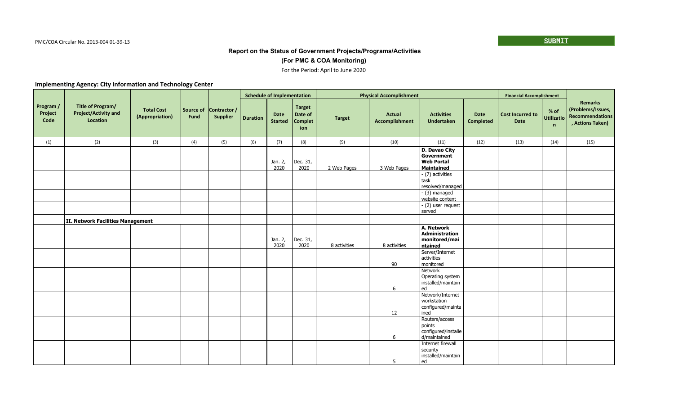## **(For PMC & COA Monitoring)**

#### For the Period: April to June 2020

|                              |                                                              |                                      |                   |                                 |                 | <b>Schedule of Implementation</b> |                                                   |               | <b>Physical Accomplishment</b>  |                                                                       |                          | <b>Financial Accomplishment</b>        |                                |                                                                            |
|------------------------------|--------------------------------------------------------------|--------------------------------------|-------------------|---------------------------------|-----------------|-----------------------------------|---------------------------------------------------|---------------|---------------------------------|-----------------------------------------------------------------------|--------------------------|----------------------------------------|--------------------------------|----------------------------------------------------------------------------|
| Program /<br>Project<br>Code | Title of Program/<br><b>Project/Activity and</b><br>Location | <b>Total Cost</b><br>(Appropriation) | Source of<br>Fund | Contractor /<br><b>Supplier</b> | <b>Duration</b> | Date<br><b>Started</b>            | <b>Target</b><br>Date of<br><b>Complet</b><br>ion | <b>Target</b> | <b>Actual</b><br>Accomplishment | <b>Activities</b><br><b>Undertaken</b>                                | Date<br><b>Completed</b> | <b>Cost Incurred to</b><br><b>Date</b> | % of<br><b>Utilizatio</b><br>n | <b>Remarks</b><br>(Problems/Issues,<br>Recommendations<br>, Actions Taken) |
| (1)                          | (2)                                                          | (3)                                  | (4)               | (5)                             | (6)             | (7)                               | (8)                                               | (9)           | (10)                            | (11)                                                                  | (12)                     | (13)                                   | (14)                           | (15)                                                                       |
|                              |                                                              |                                      |                   |                                 |                 | Jan. 2,<br>2020                   | Dec. 31,<br>2020                                  | 2 Web Pages   | 3 Web Pages                     | D. Davao City<br><b>Government</b><br><b>Web Portal</b><br>Maintained |                          |                                        |                                |                                                                            |
|                              |                                                              |                                      |                   |                                 |                 |                                   |                                                   |               |                                 | - (7) activities<br>task<br>resolved/managed                          |                          |                                        |                                |                                                                            |
|                              |                                                              |                                      |                   |                                 |                 |                                   |                                                   |               |                                 | $-$ (3) managed<br>website content                                    |                          |                                        |                                |                                                                            |
|                              |                                                              |                                      |                   |                                 |                 |                                   |                                                   |               |                                 | - (2) user request<br>served                                          |                          |                                        |                                |                                                                            |
|                              | II. Network Facilities Management                            |                                      |                   |                                 |                 |                                   |                                                   |               |                                 |                                                                       |                          |                                        |                                |                                                                            |
|                              |                                                              |                                      |                   |                                 |                 | Jan. 2,<br>2020                   | Dec. 31,<br>2020                                  | 8 activities  | 8 activities                    | A. Network<br>Administration<br>monitored/mai<br>ntained              |                          |                                        |                                |                                                                            |
|                              |                                                              |                                      |                   |                                 |                 |                                   |                                                   |               | 90                              | Server/Internet<br>activities<br>monitored                            |                          |                                        |                                |                                                                            |
|                              |                                                              |                                      |                   |                                 |                 |                                   |                                                   |               | 6                               | Network<br>Operating system<br>installed/maintain<br>ed               |                          |                                        |                                |                                                                            |
|                              |                                                              |                                      |                   |                                 |                 |                                   |                                                   |               | 12                              | Network/Internet<br>workstation<br>configured/mainta<br>l ined        |                          |                                        |                                |                                                                            |
|                              |                                                              |                                      |                   |                                 |                 |                                   |                                                   |               | 6                               | Routers/access<br>points<br>configured/installe<br>d/maintained       |                          |                                        |                                |                                                                            |
|                              |                                                              |                                      |                   |                                 |                 |                                   |                                                   |               | 5                               | Internet firewall<br>security<br>installed/maintain<br>l ed           |                          |                                        |                                |                                                                            |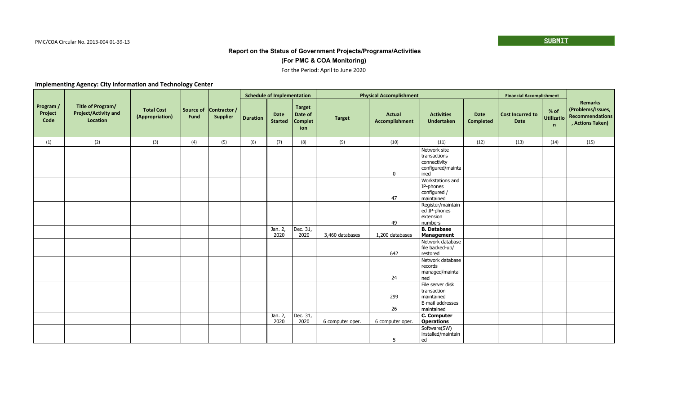## **(For PMC & COA Monitoring)**

#### For the Period: April to June 2020

|                              |                                                              |                                      |                   |                                 |                 | <b>Schedule of Implementation</b> |                                                   |                  | <b>Physical Accomplishment</b>  |                                                                             |                          | <b>Financial Accomplishment</b>        |                                      |                                                                     |
|------------------------------|--------------------------------------------------------------|--------------------------------------|-------------------|---------------------------------|-----------------|-----------------------------------|---------------------------------------------------|------------------|---------------------------------|-----------------------------------------------------------------------------|--------------------------|----------------------------------------|--------------------------------------|---------------------------------------------------------------------|
| Program /<br>Project<br>Code | Title of Program/<br><b>Project/Activity and</b><br>Location | <b>Total Cost</b><br>(Appropriation) | Source of<br>Fund | Contractor /<br><b>Supplier</b> | <b>Duration</b> | <b>Date</b><br><b>Started</b>     | <b>Target</b><br>Date of<br><b>Complet</b><br>ion | <b>Target</b>    | Actual<br><b>Accomplishment</b> | <b>Activities</b><br><b>Undertaken</b>                                      | Date<br><b>Completed</b> | <b>Cost Incurred to</b><br><b>Date</b> | $%$ of<br>Utilizatio<br>$\mathsf{n}$ | Remarks<br>(Problems/Issues,<br>Recommendations<br>, Actions Taken) |
| (1)                          | (2)                                                          | (3)                                  | (4)               | (5)                             | (6)             | (7)                               | (8)                                               | (9)              | (10)                            | (11)                                                                        | (12)                     | (13)                                   | (14)                                 | (15)                                                                |
|                              |                                                              |                                      |                   |                                 |                 |                                   |                                                   |                  | 0                               | Network site<br>transactions<br>connectivity<br>configured/mainta<br>  ined |                          |                                        |                                      |                                                                     |
|                              |                                                              |                                      |                   |                                 |                 |                                   |                                                   |                  | 47                              | Workstations and<br>IP-phones<br>configured /<br>maintained                 |                          |                                        |                                      |                                                                     |
|                              |                                                              |                                      |                   |                                 |                 |                                   |                                                   |                  | 49                              | Register/maintain<br>ed IP-phones<br>extension<br>numbers                   |                          |                                        |                                      |                                                                     |
|                              |                                                              |                                      |                   |                                 |                 | Jan. 2,<br>2020                   | Dec. 31,<br>2020                                  | 3,460 databases  | 1,200 databases                 | <b>B.</b> Database<br>Management                                            |                          |                                        |                                      |                                                                     |
|                              |                                                              |                                      |                   |                                 |                 |                                   |                                                   |                  | 642                             | Network database<br>file backed-up/<br>restored                             |                          |                                        |                                      |                                                                     |
|                              |                                                              |                                      |                   |                                 |                 |                                   |                                                   |                  | 24                              | Network database<br>records<br>managed/maintai<br>ned                       |                          |                                        |                                      |                                                                     |
|                              |                                                              |                                      |                   |                                 |                 |                                   |                                                   |                  | 299                             | File server disk<br>transaction<br>maintained                               |                          |                                        |                                      |                                                                     |
|                              |                                                              |                                      |                   |                                 |                 |                                   |                                                   |                  | 26                              | E-mail addresses<br>maintained                                              |                          |                                        |                                      |                                                                     |
|                              |                                                              |                                      |                   |                                 |                 | Jan. $2,$<br>2020                 | Dec. 31,<br>2020                                  | 6 computer oper. | 6 computer oper.                | C. Computer<br><b>Operations</b>                                            |                          |                                        |                                      |                                                                     |
|                              |                                                              |                                      |                   |                                 |                 |                                   |                                                   |                  | 5                               | Software(SW)<br>installed/maintain<br> ed                                   |                          |                                        |                                      |                                                                     |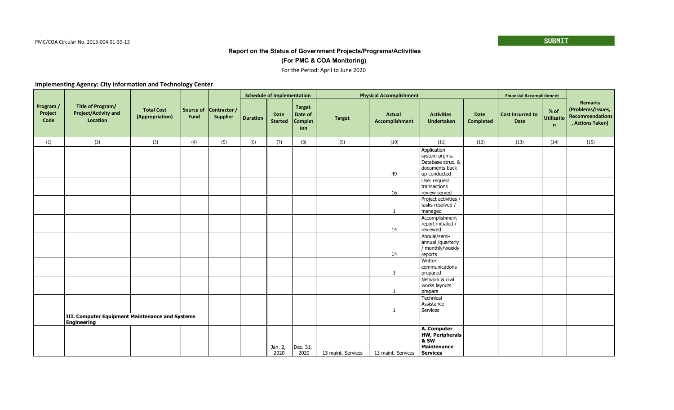## **(For PMC & COA Monitoring)**

#### For the Period: April to June 2020

|                              |                                                                       |                                      |                   |                                 |                 | <b>Schedule of Implementation</b> |                                                   |                    | <b>Physical Accomplishment</b>         |                                                                                      |                                 | <b>Financial Accomplishment</b> |                                |                                                                            |
|------------------------------|-----------------------------------------------------------------------|--------------------------------------|-------------------|---------------------------------|-----------------|-----------------------------------|---------------------------------------------------|--------------------|----------------------------------------|--------------------------------------------------------------------------------------|---------------------------------|---------------------------------|--------------------------------|----------------------------------------------------------------------------|
| Program /<br>Project<br>Code | Title of Program/<br><b>Project/Activity and</b><br>Location          | <b>Total Cost</b><br>(Appropriation) | Source of<br>Fund | Contractor /<br><b>Supplier</b> | <b>Duration</b> | <b>Date</b><br><b>Started</b>     | <b>Target</b><br>Date of<br><b>Complet</b><br>ion | <b>Target</b>      | <b>Actual</b><br><b>Accomplishment</b> | <b>Activities</b><br><b>Undertaken</b>                                               | <b>Date</b><br><b>Completed</b> | <b>Cost Incurred to</b><br>Date | % of<br><b>Utilizatio</b><br>n | <b>Remarks</b><br>(Problems/Issues,<br>Recommendations<br>, Actions Taken) |
| (1)                          | (2)                                                                   | (3)                                  | (4)               | (5)                             | (6)             | (7)                               | (8)                                               | (9)                | (10)                                   | (11)                                                                                 | (12)                            | (13)                            | (14)                           | (15)                                                                       |
|                              |                                                                       |                                      |                   |                                 |                 |                                   |                                                   |                    | 49                                     | Application<br>system prgms.<br>Database struc. &<br>documents back-<br>up conducted |                                 |                                 |                                |                                                                            |
|                              |                                                                       |                                      |                   |                                 |                 |                                   |                                                   |                    | 16                                     | User request<br>transactions<br>review served                                        |                                 |                                 |                                |                                                                            |
|                              |                                                                       |                                      |                   |                                 |                 |                                   |                                                   |                    | 1                                      | Project activities /<br>tasks resolved /<br>managed                                  |                                 |                                 |                                |                                                                            |
|                              |                                                                       |                                      |                   |                                 |                 |                                   |                                                   |                    | 14                                     | Accomplishment<br>report initialed /<br>reviewed                                     |                                 |                                 |                                |                                                                            |
|                              |                                                                       |                                      |                   |                                 |                 |                                   |                                                   |                    |                                        | Annual/semi-<br>annual /quarterly<br>/ monthly/weekly                                |                                 |                                 |                                |                                                                            |
|                              |                                                                       |                                      |                   |                                 |                 |                                   |                                                   |                    | 14<br>3                                | reports<br>Written<br>communications<br>prepared                                     |                                 |                                 |                                |                                                                            |
|                              |                                                                       |                                      |                   |                                 |                 |                                   |                                                   |                    | 1                                      | Network & civil<br>works layouts<br>prepare                                          |                                 |                                 |                                |                                                                            |
|                              |                                                                       |                                      |                   |                                 |                 |                                   |                                                   |                    |                                        | Technical<br>Assistance<br>Services                                                  |                                 |                                 |                                |                                                                            |
|                              | III. Computer Equipment Maintenance and Systems<br><b>Engineering</b> |                                      |                   |                                 |                 |                                   |                                                   |                    |                                        |                                                                                      |                                 |                                 |                                |                                                                            |
|                              |                                                                       |                                      |                   |                                 |                 | Jan. 2,<br>2020                   | Dec. 31,<br>2020                                  | 13 maint. Services | 13 maint. Services                     | A. Computer<br><b>HW, Peripherals</b><br>8.5W<br>Maintenance<br>Services             |                                 |                                 |                                |                                                                            |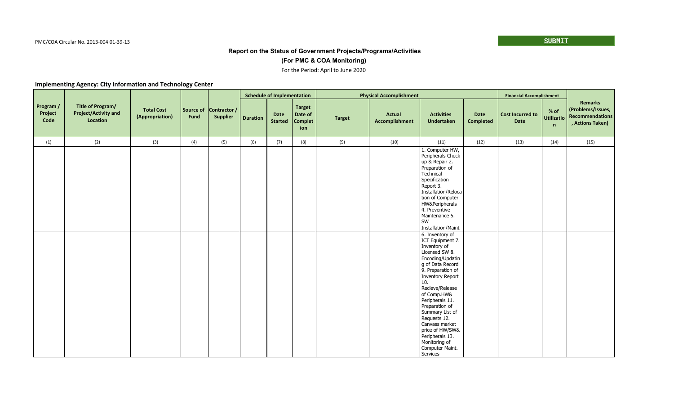## **(For PMC & COA Monitoring)**

#### For the Period: April to June 2020

|                              |                                                              |                                      |                   |                                 |                 | <b>Schedule of Implementation</b> |                                                   |               | <b>Physical Accomplishment</b>         |                                                                                                                                                                                                                                                                                                                                                                     |                          | <b>Financial Accomplishment</b> |             |                                                                                         |
|------------------------------|--------------------------------------------------------------|--------------------------------------|-------------------|---------------------------------|-----------------|-----------------------------------|---------------------------------------------------|---------------|----------------------------------------|---------------------------------------------------------------------------------------------------------------------------------------------------------------------------------------------------------------------------------------------------------------------------------------------------------------------------------------------------------------------|--------------------------|---------------------------------|-------------|-----------------------------------------------------------------------------------------|
| Program /<br>Project<br>Code | Title of Program/<br><b>Project/Activity and</b><br>Location | <b>Total Cost</b><br>(Appropriation) | Source of<br>Fund | Contractor /<br><b>Supplier</b> | <b>Duration</b> | Date<br><b>Started</b>            | <b>Target</b><br>Date of<br><b>Complet</b><br>ion | <b>Target</b> | <b>Actual</b><br><b>Accomplishment</b> | <b>Activities</b><br><b>Undertaken</b>                                                                                                                                                                                                                                                                                                                              | Date<br><b>Completed</b> | <b>Cost Incurred to</b><br>Date | $%$ of<br>n | <b>Remarks</b><br>(Problems/Issues,<br>Utilizatio   Recommendations<br>, Actions Taken) |
| (1)                          | (2)                                                          | (3)                                  | (4)               | (5)                             | (6)             | (7)                               | (8)                                               | (9)           | (10)                                   | (11)                                                                                                                                                                                                                                                                                                                                                                | (12)                     | (13)                            | (14)        | (15)                                                                                    |
|                              |                                                              |                                      |                   |                                 |                 |                                   |                                                   |               |                                        | 1. Computer HW,<br>Peripherals Check<br>up & Repair 2.<br>Preparation of<br>Technical<br>Specification<br>Report 3.<br>Installation/Reloca<br>tion of Computer<br>HW&Peripherals<br>4. Preventive<br>Maintenance 5.<br>l SW<br>Installation/Maint                                                                                                                   |                          |                                 |             |                                                                                         |
|                              |                                                              |                                      |                   |                                 |                 |                                   |                                                   |               |                                        | 6. Inventory of<br>ICT Equipment 7.<br>Inventory of<br>Licensed SW 8.<br>Encoding/Updatin<br>g of Data Record<br>9. Preparation of<br>Inventory Report<br>10.<br>Recieve/Release<br>of Comp.HW&<br>Peripherals 11.<br>Preparation of<br>Summary List of<br>Requests 12.<br>Canvass market<br>price of HW/SW&<br>Peripherals 13.<br>Monitoring of<br>Computer Maint. |                          |                                 |             |                                                                                         |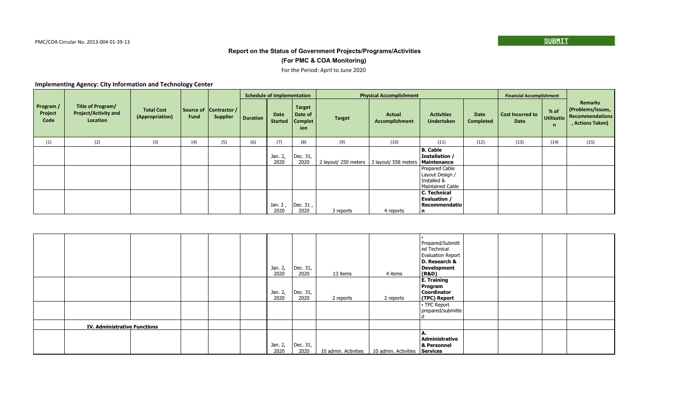## **(For PMC & COA Monitoring)**

#### For the Period: April to June 2020

|                              |                                                              |                                      |      |                                           |                 | <b>Schedule of Implementation</b> |                                            |                                                           | <b>Physical Accomplishment</b>  |                                                                      |                          | <b>Financial Accomplishment</b> |                         |                                                                            |
|------------------------------|--------------------------------------------------------------|--------------------------------------|------|-------------------------------------------|-----------------|-----------------------------------|--------------------------------------------|-----------------------------------------------------------|---------------------------------|----------------------------------------------------------------------|--------------------------|---------------------------------|-------------------------|----------------------------------------------------------------------------|
| Program /<br>Project<br>Code | Title of Program/<br><b>Project/Activity and</b><br>Location | <b>Total Cost</b><br>(Appropriation) | Fund | Source of Contractor /<br><b>Supplier</b> | <b>Duration</b> | Date<br><b>Started</b>            | <b>Target</b><br>Date of<br>Complet<br>ion | <b>Target</b>                                             | <b>Actual</b><br>Accomplishment | <b>Activities</b><br>Undertaken                                      | Date<br><b>Completed</b> | <b>Cost Incurred to</b><br>Date | % of<br>Utilizatio<br>n | <b>Remarks</b><br>(Problems/Issues,<br>Recommendations<br>, Actions Taken) |
| (1)                          | (2)                                                          | (3)                                  | (4)  | (5)                                       | (6)             | (7)                               | (8)                                        | (9)                                                       | (10)                            | (11)                                                                 | (12)                     | (13)                            | (14)                    | (15)                                                                       |
|                              |                                                              |                                      |      |                                           |                 | Jan. 2,<br>2020                   | Dec. 31,<br>2020                           | 2 layout/ 250 meters   3 layout/ 558 meters   Maintenance |                                 | <b>B. Cable</b><br>Installation /                                    |                          |                                 |                         |                                                                            |
|                              |                                                              |                                      |      |                                           |                 |                                   |                                            |                                                           |                                 | Prepared Cable<br>Layout Design /<br>Installed &<br>Maintained Cable |                          |                                 |                         |                                                                            |
|                              |                                                              |                                      |      |                                           |                 | Jan. 2,<br>2020                   | Dec. 31,<br>2020                           | 3 reports                                                 | 4 reports                       | C. Technical<br>Evaluation /<br>Recommendatio<br>۱n                  |                          |                                 |                         |                                                                            |

|                                     |  |  | Jan. 2,<br>2020 | Dec. 31,<br>2020 | 13 items             | 4 items                       | Prepared/Submitt<br>ed Technical<br>Evaluation Report<br>D. Research &<br>Development<br>(R&D) |
|-------------------------------------|--|--|-----------------|------------------|----------------------|-------------------------------|------------------------------------------------------------------------------------------------|
|                                     |  |  | Jan. 2,<br>2020 | Dec. 31,<br>2020 | 2 reports            | 2 reports                     | <b>E. Training</b><br>  Program<br><b>Coordinator</b><br>(TPC) Report                          |
|                                     |  |  |                 |                  |                      |                               | - TPC Report<br>prepared/submitte                                                              |
| <b>IV. Administrative Functions</b> |  |  |                 |                  |                      |                               |                                                                                                |
|                                     |  |  | Jan. 2,<br>2020 | Dec. 31,<br>2020 | 10 admin. Activities | 10 admin. Activities Services | Administrative<br>& Personnel                                                                  |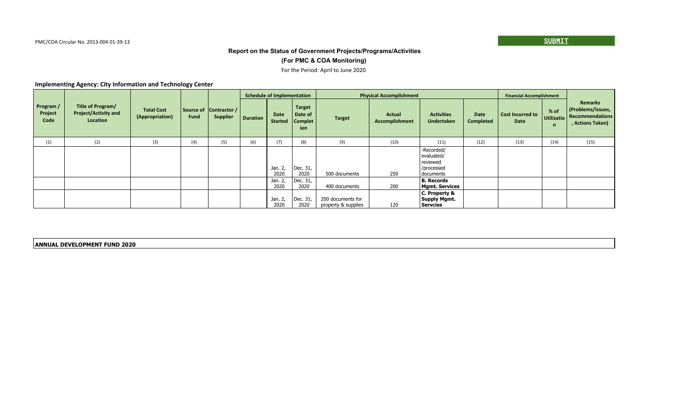## **(For PMC & COA Monitoring)**

#### For the Period: April to June 2020

#### **Implementing Agency: City Information and Technology Center**

|                              |                                                              |                                      |      |                                           |                 | <b>Schedule of Implementation</b> |                                                |                                          | <b>Physical Accomplishment</b>  |                                                                 |                          | <b>Financial Accomplishment</b> |                          |                                                                                   |
|------------------------------|--------------------------------------------------------------|--------------------------------------|------|-------------------------------------------|-----------------|-----------------------------------|------------------------------------------------|------------------------------------------|---------------------------------|-----------------------------------------------------------------|--------------------------|---------------------------------|--------------------------|-----------------------------------------------------------------------------------|
| Program /<br>Project<br>Code | Title of Program/<br><b>Project/Activity and</b><br>Location | <b>Total Cost</b><br>(Appropriation) | Fund | Source of Contractor /<br><b>Supplier</b> | <b>Duration</b> | Date<br><b>Started</b>            | <b>Target</b><br>Date of<br>  Complet  <br>ion | <b>Target</b>                            | Actual<br><b>Accomplishment</b> | <b>Activities</b><br><b>Undertaken</b>                          | Date<br><b>Completed</b> | <b>Cost Incurred to</b><br>Date | % of<br>Utilizatio<br>n. | <b>Remarks</b><br>(Problems/Issues,<br><b>Recommendations</b><br>, Actions Taken) |
| (1)                          | (2)                                                          | (3)                                  | (4)  | (5)                                       | (6)             | (7)                               | (8)                                            | (9)                                      | (10)                            | (11)                                                            | (12)                     | (13)                            | (14)                     | (15)                                                                              |
|                              |                                                              |                                      |      |                                           |                 | Jan. 2,<br>2020                   | Dec. 31,<br>2020                               | 500 documents                            | 250                             | -Recorded/<br>evaluated/<br>reviewed<br>/processed<br>documents |                          |                                 |                          |                                                                                   |
|                              |                                                              |                                      |      |                                           |                 | Jan. 2,<br>2020                   | Dec. 31,<br>2020                               | 400 documents                            | 200                             | B. Records<br>Mgmt. Services                                    |                          |                                 |                          |                                                                                   |
|                              |                                                              |                                      |      |                                           |                 | Jan. 2,<br>2020                   | Dec. 31,<br>2020                               | 200 documents for<br>property & supplies | 120                             | C. Property &<br>  Supply Mgmt.<br>  Servcies                   |                          |                                 |                          |                                                                                   |

**ANNUAL DEVELOPMENT FUND 2020**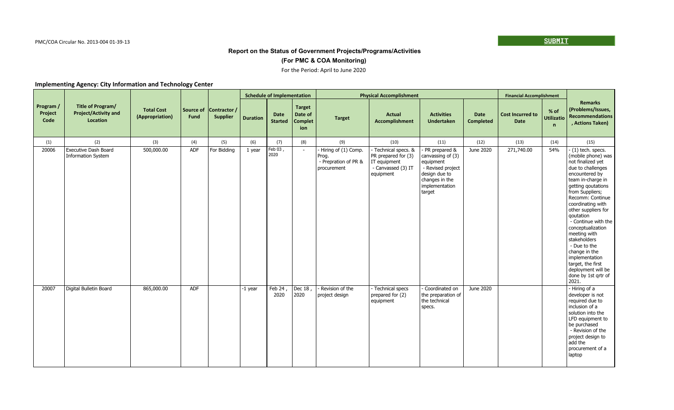## **(For PMC & COA Monitoring)**

## For the Period: April to June 2020

|                              |                                                              |                                      |                   |                                 |                 | <b>Schedule of Implementation</b> |                                                   |                                                                       | <b>Physical Accomplishment</b>                                                               |                                                                                                                                     |                          | <b>Financial Accomplishment</b>        |                                             |                                                                                                                                                                                                                                                                                                                                                                                                                                                             |
|------------------------------|--------------------------------------------------------------|--------------------------------------|-------------------|---------------------------------|-----------------|-----------------------------------|---------------------------------------------------|-----------------------------------------------------------------------|----------------------------------------------------------------------------------------------|-------------------------------------------------------------------------------------------------------------------------------------|--------------------------|----------------------------------------|---------------------------------------------|-------------------------------------------------------------------------------------------------------------------------------------------------------------------------------------------------------------------------------------------------------------------------------------------------------------------------------------------------------------------------------------------------------------------------------------------------------------|
| Program /<br>Project<br>Code | Title of Program/<br><b>Project/Activity and</b><br>Location | <b>Total Cost</b><br>(Appropriation) | Source of<br>Fund | Contractor /<br><b>Supplier</b> | <b>Duration</b> | <b>Date</b><br><b>Started</b>     | <b>Target</b><br>Date of<br><b>Complet</b><br>ion | <b>Target</b>                                                         | Actual<br>Accomplishment                                                                     | <b>Activities</b><br>Undertaken                                                                                                     | Date<br><b>Completed</b> | <b>Cost Incurred to</b><br><b>Date</b> | $%$ of<br><b>Utilizatio</b><br>$\mathsf{n}$ | <b>Remarks</b><br>(Problems/Issues,<br><b>Recommendations</b><br>, Actions Taken)                                                                                                                                                                                                                                                                                                                                                                           |
| (1)                          | (2)                                                          | (3)                                  | (4)               | (5)                             | (6)             | (7)                               | (8)                                               | (9)                                                                   | (10)                                                                                         | (11)                                                                                                                                | (12)                     | (13)                                   | (14)                                        | (15)                                                                                                                                                                                                                                                                                                                                                                                                                                                        |
| 20006                        | <b>Executive Dash Board</b><br><b>Information System</b>     | 500,000.00                           | ADF               | For Bidding                     | 1 year          | Feb 03,<br>2020                   | $\sim$                                            | - Hiring of (1) Comp.<br>Prog.<br>- Prepration of PR &<br>procurement | Technical specs. &<br>PR prepared for (3)<br>IT equipment<br>- Canvassed (3) IT<br>equipment | PR prepared &<br>canvassing of (3)<br>equipment<br>- Revised project<br>design due to<br>changes in the<br>implementation<br>target | June 2020                | 271,740.00                             | 54%                                         | $-$ (1) tech. specs.<br>(mobile phone) was<br>not finalized yet<br>due to challenges<br>encountered by<br>team in-charge in<br>getting goutations<br>from Suppliers;<br>Recomm: Continue<br>coordinating with<br>other suppliers for<br>qoutation<br>- Continue with the<br>conceptualization<br>meeting with<br>stakeholders<br>- Due to the<br>change in the<br>implementation<br>target, the first<br>deployment will be<br>done by 1st qrtr of<br>2021. |
| 20007                        | Digital Bulletin Board                                       | 865,000.00                           | <b>ADF</b>        |                                 | -1 year         | Feb $24$ ,<br>2020                | Dec $18$ ,<br>2020                                | - Revision of the<br>project design                                   | - Technical specs<br>prepared for (2)<br>equipment                                           | Coordinated on<br>the preparation of<br>l the technical<br>specs.                                                                   | June 2020                |                                        |                                             | - Hiring of a<br>developer is not<br>required due to<br>inclusion of a<br>solution into the<br>LFD equipment to<br>be purchased<br>- Revision of the<br>project design to<br>add the<br>procurement of a<br>laptop                                                                                                                                                                                                                                          |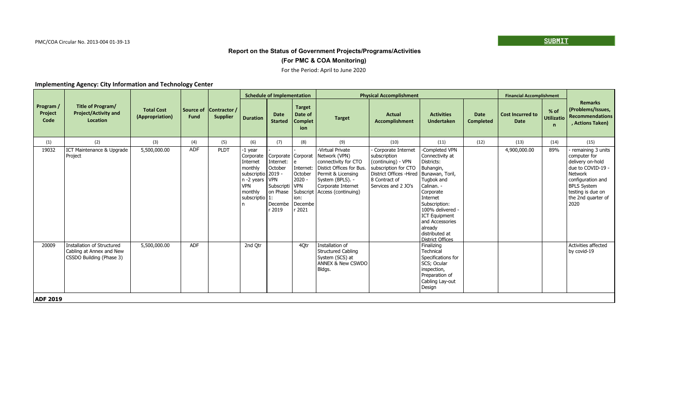### **(For PMC & COA Monitoring)**

#### For the Period: April to June 2020

|                              |                                                                                    |                                      |                   |                                 |                                                                                                                        | <b>Schedule of Implementation</b>                                                                       |                                                                             |                                                                                                                                                                                          | <b>Physical Accomplishment</b>                                                                                                                       |                                                                                                                                                                                                                                                                |                          | <b>Financial Accomplishment</b>        |                                             |                                                                                                                                                                                     |
|------------------------------|------------------------------------------------------------------------------------|--------------------------------------|-------------------|---------------------------------|------------------------------------------------------------------------------------------------------------------------|---------------------------------------------------------------------------------------------------------|-----------------------------------------------------------------------------|------------------------------------------------------------------------------------------------------------------------------------------------------------------------------------------|------------------------------------------------------------------------------------------------------------------------------------------------------|----------------------------------------------------------------------------------------------------------------------------------------------------------------------------------------------------------------------------------------------------------------|--------------------------|----------------------------------------|---------------------------------------------|-------------------------------------------------------------------------------------------------------------------------------------------------------------------------------------|
| Program /<br>Project<br>Code | Title of Program/<br><b>Project/Activity and</b><br>Location                       | <b>Total Cost</b><br>(Appropriation) | Source of<br>Fund | Contractor /<br><b>Supplier</b> | <b>Duration</b>                                                                                                        | <b>Date</b><br><b>Started</b>                                                                           | <b>Target</b><br>Date of<br><b>Complet</b><br>ion                           | <b>Target</b>                                                                                                                                                                            | <b>Actual</b><br><b>Accomplishment</b>                                                                                                               | <b>Activities</b><br><b>Undertaken</b>                                                                                                                                                                                                                         | <b>Date</b><br>Completed | <b>Cost Incurred to</b><br><b>Date</b> | $%$ of<br><b>Utilizatio</b><br>$\mathsf{n}$ | <b>Remarks</b><br>(Problems/Issues,<br>Recommendations<br>, Actions Taken)                                                                                                          |
| (1)                          | (2)                                                                                | (3)                                  | (4)               | (5)                             | (6)                                                                                                                    | (7)                                                                                                     | (8)                                                                         | (9)                                                                                                                                                                                      | (10)                                                                                                                                                 | (11)                                                                                                                                                                                                                                                           | (12)                     | (13)                                   | (14)                                        | (15)                                                                                                                                                                                |
| 19032                        | ICT Maintenance & Upgrade<br>Project                                               | 5,500,000.00                         | ADF               | PLDT                            | -1 year<br>Corporate<br>Internet<br>monthly<br>subscriptio<br>n -2 years   VPN<br><b>VPN</b><br>monthly<br>subscriptio | Corporate   Corporat<br>Internet:<br>October<br>  2019 -<br>Subscripti<br>on Phase<br>Decembe<br>r 2019 | Internet:<br>October<br>$2020 -$<br><b>VPN</b><br>ion:<br>Decembe<br>r 2021 | -Virtual Private<br>Network (VPN)<br>connectivity for CTO<br>Distict Offices for Bus.<br>Permit & Licensing<br>System (BPLS). -<br>Corporate Internet<br>Subscript   Access (continuing) | Corporate Internet<br>subscription<br>(continuing) - VPN<br>subscription for CTO<br>District Offices - Hired<br>8 Contract of<br>Services and 2 JO's | -Completed VPN<br>Connectivity at<br>Districts:<br>Buhangin,<br>Bunawan, Toril,<br>Tugbok and<br>Calinan. -<br>Corporate<br>Internet<br>Subscription:<br>100% delivered -<br>ICT Equipment<br>and Accessories<br>already<br>distributed at<br>District Offices |                          | 4,900,000.00                           | 89%                                         | remaining 3 units<br>computer for<br>delivery on-hold<br>due to COVID-19 -<br>Network<br>configuration and<br><b>BPLS System</b><br>testing is due on<br>the 2nd quarter of<br>2020 |
| 20009<br><b>ADF 2019</b>     | Installation of Structured<br>Cabling at Annex and New<br>CSSDO Building (Phase 3) | 5,500,000.00                         | ADF               |                                 | 2nd Otr                                                                                                                |                                                                                                         | 40tr                                                                        | Installation of<br><b>Structured Cabling</b><br>System (SCS) at<br><b>ANNEX &amp; New CSWDO</b><br>Bldgs.                                                                                |                                                                                                                                                      | Finalizing<br>Technical<br>Specifications for<br>SCS; Ocular<br>inspection,<br>Preparation of<br>Cabling Lay-out<br>Design                                                                                                                                     |                          |                                        |                                             | Activities affected<br>by covid-19                                                                                                                                                  |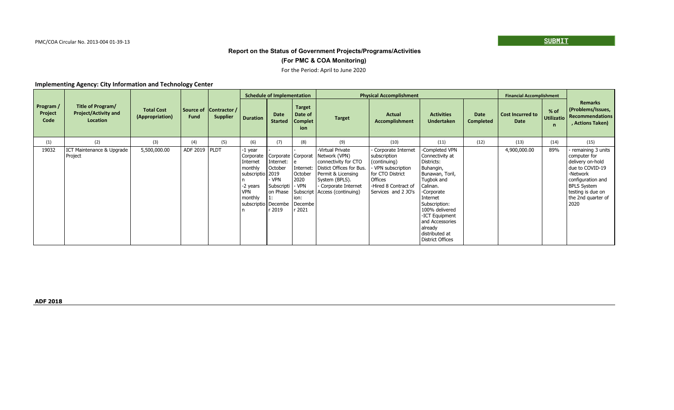### **(For PMC & COA Monitoring)**

#### For the Period: April to June 2020

|                              |                                                              |                                      |                          |                                 |                                                                                                                                                        | <b>Schedule of Implementation</b>                                        |                                                                    |                                                                                                                                                                                          | <b>Physical Accomplishment</b>                                                                                                                       |                                                                                                                                                                                                                                                                     |                                 | <b>Financial Accomplishment</b> |                           |                                                                                                                                                                                    |
|------------------------------|--------------------------------------------------------------|--------------------------------------|--------------------------|---------------------------------|--------------------------------------------------------------------------------------------------------------------------------------------------------|--------------------------------------------------------------------------|--------------------------------------------------------------------|------------------------------------------------------------------------------------------------------------------------------------------------------------------------------------------|------------------------------------------------------------------------------------------------------------------------------------------------------|---------------------------------------------------------------------------------------------------------------------------------------------------------------------------------------------------------------------------------------------------------------------|---------------------------------|---------------------------------|---------------------------|------------------------------------------------------------------------------------------------------------------------------------------------------------------------------------|
| Program /<br>Project<br>Code | Title of Program/<br><b>Project/Activity and</b><br>Location | <b>Total Cost</b><br>(Appropriation) | Source of<br><b>Fund</b> | Contractor /<br><b>Supplier</b> | <b>Duration</b>                                                                                                                                        | Date<br><b>Started</b>                                                   | <b>Target</b><br>Date of<br>Complet<br>ion.                        | <b>Target</b>                                                                                                                                                                            | <b>Actual</b><br><b>Accomplishment</b>                                                                                                               | <b>Activities</b><br><b>Undertaken</b>                                                                                                                                                                                                                              | <b>Date</b><br><b>Completed</b> | <b>Cost Incurred to</b><br>Date | $%$ of<br>Utilizatio<br>n | Remarks<br>(Problems/Issues,<br><b>Recommendations</b><br>, Actions Taken)                                                                                                         |
| (1)                          | (2)                                                          | (3)                                  | (4)                      | (5)                             | (6)                                                                                                                                                    | (7)                                                                      | (8)                                                                | (9)                                                                                                                                                                                      | (10)                                                                                                                                                 | (11)                                                                                                                                                                                                                                                                | (12)                            | (13)                            | (14)                      | (15)                                                                                                                                                                               |
| 19032                        | ICT Maintenance & Upgrade<br>Project                         | 5,500,000.00                         | ADF 2019   PLDT          |                                 | -1 year<br>Corporate   Corporate   Corporat<br>Internet<br>monthly<br>subscriptio   2019<br>-2 years<br><b>VPN</b><br>monthly<br>subscriptio   Decembe | Internet:<br>October<br>· VPN<br><b>Subscripti</b><br>on Phase<br>r 2019 | Internet:<br>October<br>2020<br>- VPN<br>ion:<br>Decembe<br>r 2021 | -Virtual Private<br>Network (VPN)<br>connectivity for CTO<br>Distict Offices for Bus.<br>Permit & Licensing<br>System (BPLS).<br>- Corporate Internet<br>Subscript   Access (continuing) | Corporate Internet<br>subscription<br>(continuing)<br>VPN subscription<br>for CTO District<br>Offices<br>-Hired 8 Contract of<br>Services and 2 JO's | -Completed VPN<br>Connectivity at<br>Districts:<br>Buhangin,<br>Bunawan, Toril,<br>Tugbok and<br>Calinan.<br>-Corporate<br>Internet<br>Subscription:<br>100% delivered<br>-ICT Equipment<br>and Accessories<br>already<br>distributed at<br><b>District Offices</b> |                                 | 4,900,000.00                    | 89%                       | remaining 3 units<br>computer for<br>delivery on-hold<br>due to COVID-19<br>-Network<br>configuration and<br><b>BPLS System</b><br>testing is due on<br>the 2nd quarter of<br>2020 |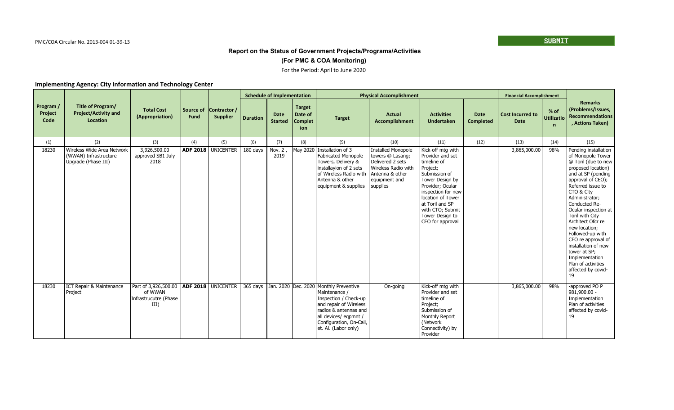### **(For PMC & COA Monitoring)**

### For the Period: April to June 2020

|                              | Title of Program/<br><b>Project/Activity and</b><br>Location               | <b>Total Cost</b><br>(Appropriation)                                                    | Source of<br>Fund | Contractor /<br><b>Supplier</b> | <b>Schedule of Implementation</b> |                               |                                                   | <b>Physical Accomplishment</b>                                                                                                                                                                                  |                                                                                                                                          |                                                                                                                                                                                                                                                   |                                 | <b>Financial Accomplishment</b>        |                                  |                                                                                                                                                                                                                                                                                                                                                                                                                                               |
|------------------------------|----------------------------------------------------------------------------|-----------------------------------------------------------------------------------------|-------------------|---------------------------------|-----------------------------------|-------------------------------|---------------------------------------------------|-----------------------------------------------------------------------------------------------------------------------------------------------------------------------------------------------------------------|------------------------------------------------------------------------------------------------------------------------------------------|---------------------------------------------------------------------------------------------------------------------------------------------------------------------------------------------------------------------------------------------------|---------------------------------|----------------------------------------|----------------------------------|-----------------------------------------------------------------------------------------------------------------------------------------------------------------------------------------------------------------------------------------------------------------------------------------------------------------------------------------------------------------------------------------------------------------------------------------------|
| Program /<br>Project<br>Code |                                                                            |                                                                                         |                   |                                 | <b>Duration</b>                   | <b>Date</b><br><b>Started</b> | <b>Target</b><br>Date of<br><b>Complet</b><br>ion | <b>Target</b>                                                                                                                                                                                                   | <b>Actual</b><br><b>Accomplishment</b>                                                                                                   | <b>Activities</b><br><b>Undertaken</b>                                                                                                                                                                                                            | <b>Date</b><br><b>Completed</b> | <b>Cost Incurred to</b><br><b>Date</b> | $%$ of<br><b>Utilizatio</b><br>n | <b>Remarks</b><br>(Problems/Issues,<br><b>Recommendations</b><br>, Actions Taken)                                                                                                                                                                                                                                                                                                                                                             |
| (1)                          | (2)                                                                        | (3)                                                                                     | (4)               | (5)                             | (6)                               | (7)                           | (8)                                               | (9)                                                                                                                                                                                                             | (10)                                                                                                                                     | (11)                                                                                                                                                                                                                                              | (12)                            | (13)                                   | (14)                             | (15)                                                                                                                                                                                                                                                                                                                                                                                                                                          |
| 18230                        | Wireless Wide Area Network<br>(WWAN) Infrastructure<br>Upgrade (Phase III) | 3,926,500.00<br>approved SB1 July<br>2018                                               | <b>ADF 2018</b>   | <b>UNICENTER</b>                | 180 days                          | Nov. 2,<br>2019               | May 2020                                          | Installation of 3<br><b>Fabricated Monopole</b><br>Towers, Delivery &<br>installayion of 2 sets<br>of Wireless Radio with<br>Antenna & other<br>equipment & supplies                                            | <b>Installed Monopole</b><br>towers @ Lasang;<br>Delivered 2 sets<br>Wireless Radio with<br>Antenna & other<br>equipment and<br>supplies | Kick-off mtg with<br>Provider and set<br>timeline of<br>Project;<br>Submission of<br>Tower Design by<br>Provider; Ocular<br>inspection for new<br>location of Tower<br>at Toril and SP<br>with CTO; Submit<br>Tower Design to<br>CEO for approval |                                 | 3,865,000.00                           | 98%                              | Pending installation<br>of Monopole Tower<br>@ Toril (due to new<br>proposed location)<br>and at SP (pending<br>approval of CEO);<br>Referred issue to<br>CTO & City<br>Administrator;<br>Conducted Re-<br>Ocular inspection at<br>Toril with City<br>Architect Ofcr re<br>new location;<br>Followed-up with<br>CEO re approval of<br>installation of new<br>tower at SP:<br>Implementation<br>Plan of activities<br>affected by covid-<br>19 |
| 18230                        | ICT Repair & Maintenance<br>Project                                        | Part of 3,926,500.00   ADF 2018   UNICENTER<br>of WWAN<br>Infrastrucutre (Phase<br>III) |                   |                                 | 365 days                          |                               |                                                   | Jan. 2020 Dec. 2020 Monthly Preventive<br>Maintenance /<br>Inspection / Check-up<br>and repair of Wireless<br>radios & antennas and<br>all devices/ eqpmnt /<br>Configuration, On-Call,<br>et. Al. (Labor only) | On-going                                                                                                                                 | Kick-off mtg with<br>Provider and set<br>timeline of<br>Project;<br>Submission of<br>Monthly Report<br>(Network<br>Connectivity) by<br>Provider                                                                                                   |                                 | 3,865,000.00                           | 98%                              | -approved PO P<br>981,900.00 -<br>Implementation<br>Plan of activities<br>affected by covid-<br>19                                                                                                                                                                                                                                                                                                                                            |